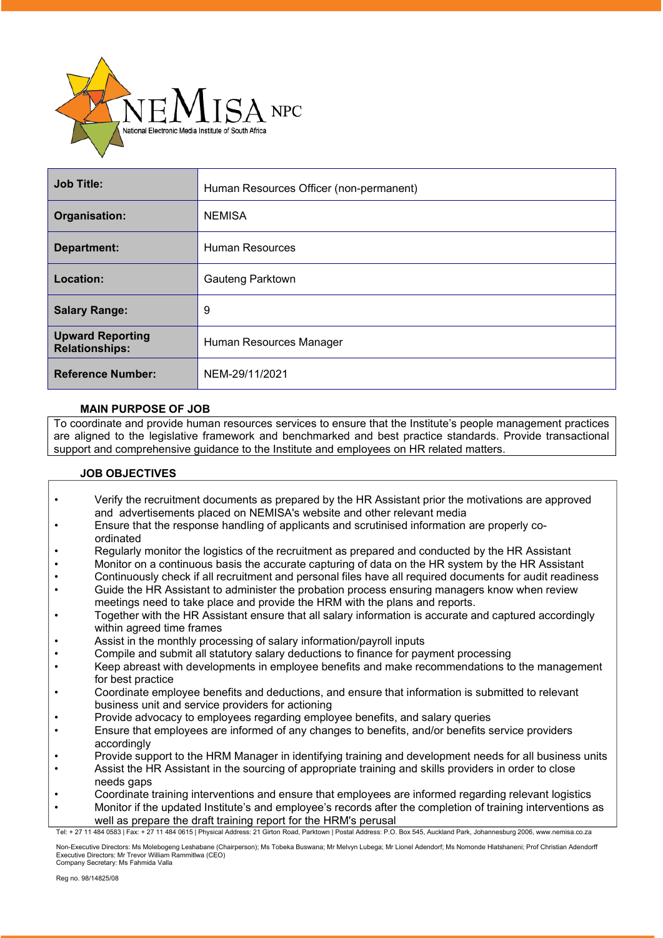

| <b>Job Title:</b>                                | Human Resources Officer (non-permanent) |  |  |  |
|--------------------------------------------------|-----------------------------------------|--|--|--|
| Organisation:                                    | <b>NEMISA</b>                           |  |  |  |
| Department:                                      | Human Resources                         |  |  |  |
| Location:                                        | Gauteng Parktown                        |  |  |  |
| <b>Salary Range:</b>                             | 9                                       |  |  |  |
| <b>Upward Reporting</b><br><b>Relationships:</b> | Human Resources Manager                 |  |  |  |
| <b>Reference Number:</b>                         | NEM-29/11/2021                          |  |  |  |

## **MAIN PURPOSE OF JOB**

To coordinate and provide human resources services to ensure that the Institute's people management practices are aligned to the legislative framework and benchmarked and best practice standards. Provide transactional support and comprehensive guidance to the Institute and employees on HR related matters.

## **JOB OBJECTIVES**

- Verify the recruitment documents as prepared by the HR Assistant prior the motivations are approved and advertisements placed on NEMISA's website and other relevant media
- Ensure that the response handling of applicants and scrutinised information are properly coordinated
- Regularly monitor the logistics of the recruitment as prepared and conducted by the HR Assistant
- Monitor on a continuous basis the accurate capturing of data on the HR system by the HR Assistant
- Continuously check if all recruitment and personal files have all required documents for audit readiness
- Guide the HR Assistant to administer the probation process ensuring managers know when review meetings need to take place and provide the HRM with the plans and reports.
- Together with the HR Assistant ensure that all salary information is accurate and captured accordingly within agreed time frames
- Assist in the monthly processing of salary information/payroll inputs
- Compile and submit all statutory salary deductions to finance for payment processing
- Keep abreast with developments in employee benefits and make recommendations to the management for best practice
- Coordinate employee benefits and deductions, and ensure that information is submitted to relevant business unit and service providers for actioning
- Provide advocacy to employees regarding employee benefits, and salary queries
- Ensure that employees are informed of any changes to benefits, and/or benefits service providers accordingly
- Provide support to the HRM Manager in identifying training and development needs for all business units
- Assist the HR Assistant in the sourcing of appropriate training and skills providers in order to close needs gaps
- Coordinate training interventions and ensure that employees are informed regarding relevant logistics
- Monitor if the updated Institute's and employee's records after the completion of training interventions as well as prepare the draft training report for the HRM's perusal

Tel: + 27 11 484 0583 | Fax: + 27 11 484 0615 | Physical Address: 21 Girton Road, Parktown | Postal Address: P.O. Box 545, Auckland Park, Johannesburg 2006, [www.nemisa.co.za](http://www.nemisa.co.za/)

Non-Executive Directors: Ms Molebogeng Leshabane (Chairperson); Ms Tobeka Buswana; Mr Melvyn Lubega; Mr Lionel Adendorf; Ms Nomonde Hlatshaneni; Prof Christian Adendorff<br>Executive Directors: Mr Trevor William Rammitlwa (CE Company Secretary: Ms Fahmida Valla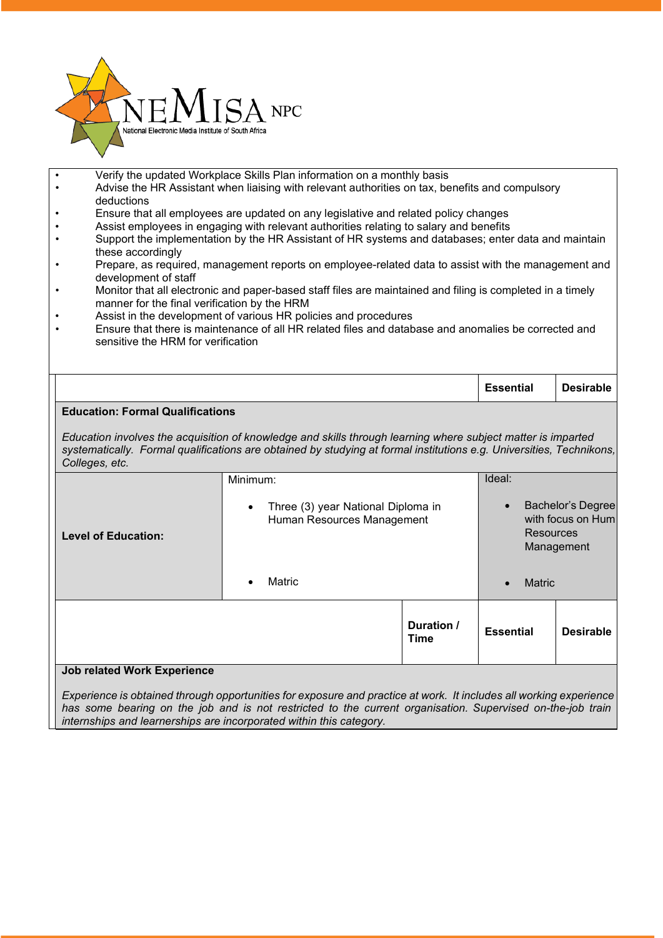

- Verify the updated Workplace Skills Plan information on a monthly basis
- Advise the HR Assistant when liaising with relevant authorities on tax, benefits and compulsory deductions
- Ensure that all employees are updated on any legislative and related policy changes
- Assist employees in engaging with relevant authorities relating to salary and benefits
- Support the implementation by the HR Assistant of HR systems and databases; enter data and maintain these accordingly
- Prepare, as required, management reports on employee-related data to assist with the management and development of staff
- Monitor that all electronic and paper-based staff files are maintained and filing is completed in a timely manner for the final verification by the HRM
- Assist in the development of various HR policies and procedures
- Ensure that there is maintenance of all HR related files and database and anomalies be corrected and sensitive the HRM for verification

|                                         |                                                                                                                                                                                                                                      | <b>Essential</b> | <b>Desirable</b>  |
|-----------------------------------------|--------------------------------------------------------------------------------------------------------------------------------------------------------------------------------------------------------------------------------------|------------------|-------------------|
| <b>Education: Formal Qualifications</b> |                                                                                                                                                                                                                                      |                  |                   |
| Colleges, etc.                          | Education involves the acquisition of knowledge and skills through learning where subject matter is imparted<br>systematically. Formal qualifications are obtained by studying at formal institutions e.g. Universities, Technikons, |                  |                   |
|                                         | Minimum:                                                                                                                                                                                                                             | Ideal:           |                   |
|                                         | Three (3) year National Diploma in                                                                                                                                                                                                   |                  | Bachelor's Degree |

| <b>Level of Education:</b>         | Three (3) year National Diploma in<br>$\bullet$<br>Human Resources Management |        | Bachelor's Degree<br>with focus on Hum<br><b>Resources</b><br>Management |                  |               |                  |
|------------------------------------|-------------------------------------------------------------------------------|--------|--------------------------------------------------------------------------|------------------|---------------|------------------|
|                                    |                                                                               | Matric |                                                                          |                  | <b>Matric</b> |                  |
|                                    |                                                                               |        | Duration /<br><b>Time</b>                                                | <b>Essential</b> |               | <b>Desirable</b> |
| <b>Job related Work Experience</b> |                                                                               |        |                                                                          |                  |               |                  |

Experience is obtained through opportunities for exposure and practice at work. It includes all working experience has some bearing on the job and is not restricted to the current organisation. Supervised on-the-job train *internships and learnerships are incorporated within this category.*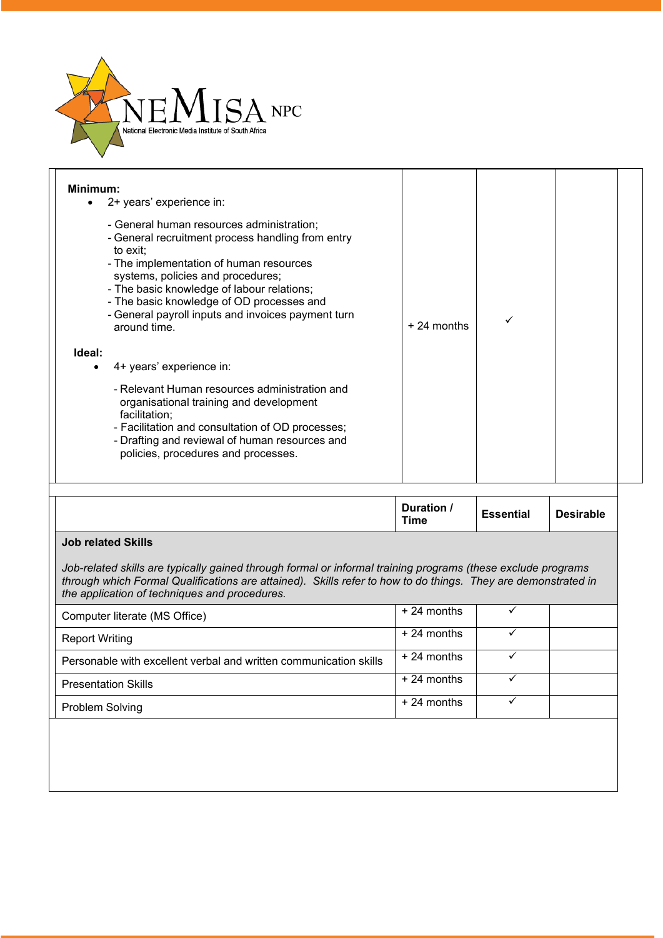

| Minimum:<br>2+ years' experience in:<br>- General human resources administration;<br>- General recruitment process handling from entry<br>to exit:<br>- The implementation of human resources<br>systems, policies and procedures;<br>- The basic knowledge of labour relations;<br>- The basic knowledge of OD processes and<br>- General payroll inputs and invoices payment turn |              |  |  |
|-------------------------------------------------------------------------------------------------------------------------------------------------------------------------------------------------------------------------------------------------------------------------------------------------------------------------------------------------------------------------------------|--------------|--|--|
| around time.                                                                                                                                                                                                                                                                                                                                                                        | $+24$ months |  |  |
| Ideal:<br>4+ years' experience in:<br>$\bullet$                                                                                                                                                                                                                                                                                                                                     |              |  |  |
| - Relevant Human resources administration and<br>organisational training and development<br>facilitation;<br>- Facilitation and consultation of OD processes;<br>- Drafting and reviewal of human resources and<br>policies, procedures and processes.                                                                                                                              |              |  |  |

|  | Duration,<br><b>Time</b> | <b>Essential</b> | <b>Desirable</b> |
|--|--------------------------|------------------|------------------|
|--|--------------------------|------------------|------------------|

## **Job related Skills**

*Job-related skills are typically gained through formal or informal training programs (these exclude programs* through which Formal Qualifications are attained). Skills refer to how to do things. They are demonstrated in *the application of techniques and procedures.*

| Computer literate (MS Office)                                     | $+24$ months |  |
|-------------------------------------------------------------------|--------------|--|
| <b>Report Writing</b>                                             | $+24$ months |  |
| Personable with excellent verbal and written communication skills | $+24$ months |  |
| <b>Presentation Skills</b>                                        | $+24$ months |  |
| Problem Solving                                                   | $+24$ months |  |
|                                                                   |              |  |